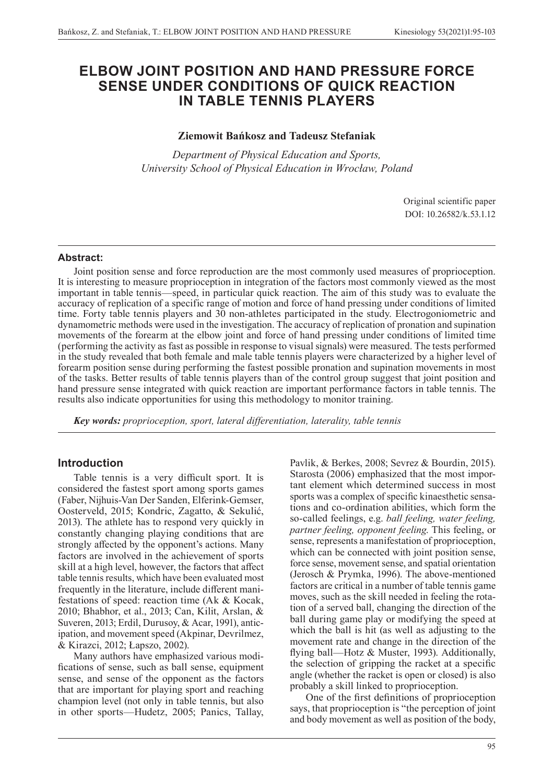# **ELBOW JOINT POSITION AND HAND PRESSURE FORCE SENSE UNDER CONDITIONS OF QUICK REACTION IN TABLE TENNIS PLAYERS**

# **Ziemowit Bańkosz and Tadeusz Stefaniak**

*Department of Physical Education and Sports, University School of Physical Education in Wrocław, Poland*

> Original scientific paper DOI: 10.26582/k.53.1.12

### **Abstract:**

Joint position sense and force reproduction are the most commonly used measures of proprioception. It is interesting to measure proprioception in integration of the factors most commonly viewed as the most important in table tennis—speed, in particular quick reaction. The aim of this study was to evaluate the accuracy of replication of a specific range of motion and force of hand pressing under conditions of limited time. Forty table tennis players and 30 non-athletes participated in the study. Electrogoniometric and dynamometric methods were used in the investigation. The accuracy of replication of pronation and supination movements of the forearm at the elbow joint and force of hand pressing under conditions of limited time (performing the activity as fast as possible in response to visual signals) were measured. The tests performed in the study revealed that both female and male table tennis players were characterized by a higher level of forearm position sense during performing the fastest possible pronation and supination movements in most of the tasks. Better results of table tennis players than of the control group suggest that joint position and hand pressure sense integrated with quick reaction are important performance factors in table tennis. The results also indicate opportunities for using this methodology to monitor training.

*Key words: proprioception, sport, lateral differentiation, laterality, table tennis*

## **Introduction**

Table tennis is a very difficult sport. It is considered the fastest sport among sports games (Faber, Nijhuis-Van Der Sanden, Elferink-Gemser, Oosterveld, 2015; Kondric, Zagatto, & Sekulić, 2013). The athlete has to respond very quickly in constantly changing playing conditions that are strongly affected by the opponent's actions. Many factors are involved in the achievement of sports skill at a high level, however, the factors that affect table tennis results, which have been evaluated most frequently in the literature, include different manifestations of speed: reaction time (Ak & Kocak, 2010; Bhabhor, et al., 2013; Can, Kilit, Arslan, & Suveren, 2013; Erdil, Durusoy, & Acar, 1991), anticipation, and movement speed (Akpinar, Devrilmez, & Kirazci, 2012; Łapszo, 2002).

Many authors have emphasized various modifications of sense, such as ball sense, equipment sense, and sense of the opponent as the factors that are important for playing sport and reaching champion level (not only in table tennis, but also in other sports—Hudetz, 2005; Panics, Tallay,

Pavlik, & Berkes, 2008; Sevrez & Bourdin, 2015). Starosta (2006) emphasized that the most important element which determined success in most sports was a complex of specific kinaesthetic sensations and co-ordination abilities, which form the so-called feelings, e.g. *ball feeling, water feeling, partner feeling, opponent feeling*. This feeling, or sense, represents a manifestation of proprioception, which can be connected with joint position sense, force sense, movement sense, and spatial orientation (Jerosch & Prymka, 1996). The above-mentioned factors are critical in a number of table tennis game moves, such as the skill needed in feeling the rotation of a served ball, changing the direction of the ball during game play or modifying the speed at which the ball is hit (as well as adjusting to the movement rate and change in the direction of the flying ball—Hotz & Muster, 1993). Additionally, the selection of gripping the racket at a specific angle (whether the racket is open or closed) is also probably a skill linked to proprioception.

One of the first definitions of proprioception says, that proprioception is "the perception of joint and body movement as well as position of the body,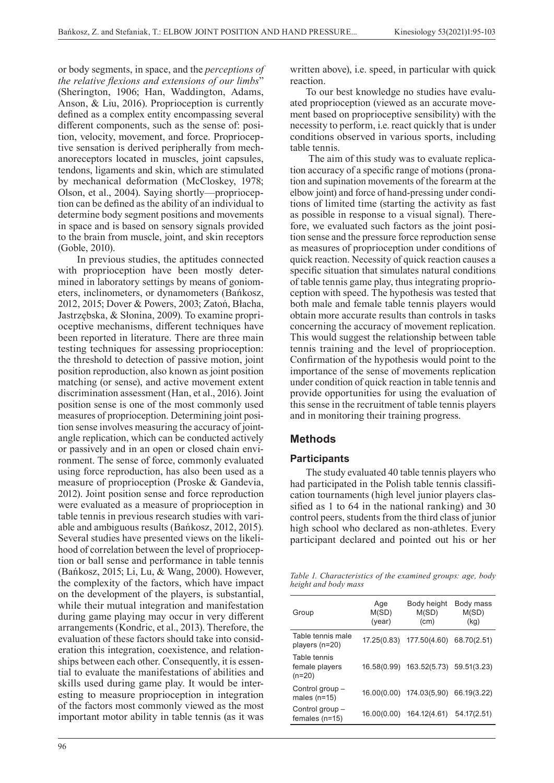or body segments, in space, and the *perceptions of the relative flexions and extensions of our limbs*" (Sherington, 1906; Han, Waddington, Adams, Anson, & Liu, 2016). Proprioception is currently defined as a complex entity encompassing several different components, such as the sense of: position, velocity, movement, and force. Proprioceptive sensation is derived peripherally from mechanoreceptors located in muscles, joint capsules, tendons, ligaments and skin, which are stimulated by mechanical deformation (McCloskey, 1978; Olson, et al., 2004). Saying shortly—proprioception can be defined as the ability of an individual to determine body segment positions and movements in space and is based on sensory signals provided to the brain from muscle, joint, and skin receptors (Goble, 2010).

 In previous studies, the aptitudes connected with proprioception have been mostly determined in laboratory settings by means of goniometers, inclinometers, or dynamometers (Bańkosz, 2012, 2015; Dover & Powers, 2003; Zatoń, Błacha, Jastrzębska, & Słonina, 2009). To examine proprioceptive mechanisms, different techniques have been reported in literature. There are three main testing techniques for assessing proprioception: the threshold to detection of passive motion, joint position reproduction, also known as joint position matching (or sense), and active movement extent discrimination assessment (Han, et al., 2016). Joint position sense is one of the most commonly used measures of proprioception. Determining joint position sense involves measuring the accuracy of jointangle replication, which can be conducted actively or passively and in an open or closed chain environment. The sense of force, commonly evaluated using force reproduction, has also been used as a measure of proprioception (Proske & Gandevia, 2012). Joint position sense and force reproduction were evaluated as a measure of proprioception in table tennis in previous research studies with variable and ambiguous results (Bańkosz, 2012, 2015). Several studies have presented views on the likelihood of correlation between the level of proprioception or ball sense and performance in table tennis (Bańkosz, 2015; Li, Lu, & Wang, 2000). However, the complexity of the factors, which have impact on the development of the players, is substantial, while their mutual integration and manifestation during game playing may occur in very different arrangements (Kondric, et al., 2013). Therefore, the evaluation of these factors should take into consideration this integration, coexistence, and relationships between each other. Consequently, it is essential to evaluate the manifestations of abilities and skills used during game play. It would be interesting to measure proprioception in integration of the factors most commonly viewed as the most important motor ability in table tennis (as it was written above), i.e. speed, in particular with quick reaction.

To our best knowledge no studies have evaluated proprioception (viewed as an accurate movement based on proprioceptive sensibility) with the necessity to perform, i.e. react quickly that is under conditions observed in various sports, including table tennis.

 The aim of this study was to evaluate replication accuracy of a specific range of motions (pronation and supination movements of the forearm at the elbow joint) and force of hand-pressing under conditions of limited time (starting the activity as fast as possible in response to a visual signal). Therefore, we evaluated such factors as the joint position sense and the pressure force reproduction sense as measures of proprioception under conditions of quick reaction. Necessity of quick reaction causes a specific situation that simulates natural conditions of table tennis game play, thus integrating proprioception with speed. The hypothesis was tested that both male and female table tennis players would obtain more accurate results than controls in tasks concerning the accuracy of movement replication. This would suggest the relationship between table tennis training and the level of proprioception. Confirmation of the hypothesis would point to the importance of the sense of movements replication under condition of quick reaction in table tennis and provide opportunities for using the evaluation of this sense in the recruitment of table tennis players and in monitoring their training progress.

# **Methods**

#### **Participants**

The study evaluated 40 table tennis players who had participated in the Polish table tennis classification tournaments (high level junior players classified as 1 to 64 in the national ranking) and 30 control peers, students from the third class of junior high school who declared as non-athletes. Every participant declared and pointed out his or her

*Table 1. Characteristics of the examined groups: age, body height and body mass*

| Group                                      | Age<br>M(SD)<br>(year) | Body height<br>M(SD)<br>(cm)         | Body mass<br>M(SD)<br>(kg) |
|--------------------------------------------|------------------------|--------------------------------------|----------------------------|
| Table tennis male<br>players (n=20)        | 17.25(0.83)            | 177.50(4.60)                         | 68.70(2.51)                |
| Table tennis<br>female players<br>$(n=20)$ |                        | 16.58(0.99) 163.52(5.73) 59.51(3.23) |                            |
| Control group -<br>males $(n=15)$          |                        | 16.00(0.00) 174.03(5,90)             | 66.19(3.22)                |
| Control group -<br>females $(n=15)$        | 16.00(0.00)            | 164.12(4.61)                         | 54.17(2.51)                |
|                                            |                        |                                      |                            |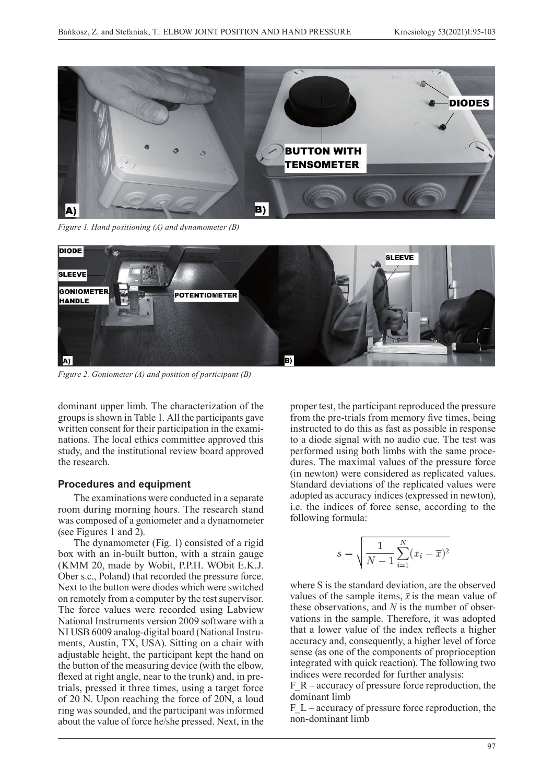

*Figure 1. Hand positioning (A) and dynamometer (B)*



*Figure 2. Goniometer (A) and position of participant (B)*

dominant upper limb. The characterization of the groups is shown in Table 1. All the participants gave written consent for their participation in the exami-<br>instruct nations. The local ethics committee approved this study, and the institutional review board approved the research. **Figure 2.** Goniometer (A) and position of participant (B)

#### **Procedures and equipment**

The examinations were conducted in a separate room during morning hours. The research stand was composed of a goniometer and a dynamometer (see Figures 1 and 2).

The dynamometer (Fig. 1) consisted of a rigid box with an in-built button, with a strain gauge (KMM 20, made by Wobit, P.P.H. WObit E.K.J. Ober s.c., Poland) that recorded the pressure force. Next to the button were diodes which were switched on remotely from a computer by the test supervisor. The force values were recorded using Labview National Instruments version 2009 software with a NI USB 6009 analog-digital board (National Instruments, Austin, TX, USA). Sitting on a chair with adjustable height, the participant kept the hand on the button of the measuring device (with the elbow, flexed at right angle, near to the trunk) and, in pretrials, pressed it three times, using a target force of 20 N. Upon reaching the force of 20N, a loud ring was sounded, and the participant was informed about the value of force he/she pressed. Next, in the

proper test, the participant reproduced the pressure from the pre-trials from memory five times, being instructed to do this as fast as possible in response to a diode signal with no audio cue. The test was performed using both limbs with the same procedures. The maximal values of the pressure force (in newton) were considered as replicated values. In the replication of the replicated values.<br>Standard deviations of the replicated values were adopted as accuracy indices (expressed in newton), i.e. the indices of force sense, according to the following formula:

$$
s = \sqrt{\frac{1}{N-1} \sum_{i=1}^{N} (x_i - \overline{x})^2}
$$

where S is the standard deviation, are the observed values of the sample items, *x* is the mean values of the sample items,  $\bar{x}$  is the mean value of vations in the sample. Therefore, it was adopted accuracy and, consequently, a higher level of force sense (as one of the components of proprioception indices were recorded for further analysis: where S is the standard deviation, are the observed these observations, and *N* is the number of obserthat a lower value of the index reflects a higher integrated with quick reaction). The following two

Film – accuracy of pressure force reproduction, the non-dominant limb – accuracy of pressure for  $n = 1$ F R – accuracy of pressure force reproduction, the dominant limb

=Figure 2 about here=  $F_L$  – accuracy of pressure force reproduction, the non-dominant limb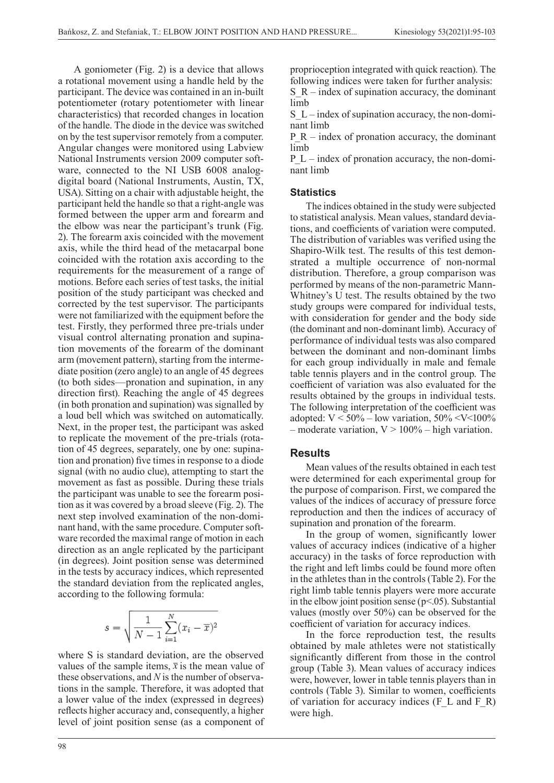A goniometer (Fig. 2) is a device that allows a rotational movement using a handle held by the participant. The device was contained in an in-built potentiometer (rotary potentiometer with linear characteristics) that recorded changes in location of the handle. The diode in the device was switched on by the test supervisor remotely from a computer. Angular changes were monitored using Labview National Instruments version 2009 computer software, connected to the NI USB 6008 analogdigital board (National Instruments, Austin, TX, USA). Sitting on a chair with adjustable height, the participant held the handle so that a right-angle was formed between the upper arm and forearm and the elbow was near the participant's trunk (Fig. 2). The forearm axis coincided with the movement axis, while the third head of the metacarpal bone coincided with the rotation axis according to the requirements for the measurement of a range of motions. Before each series of test tasks, the initial position of the study participant was checked and corrected by the test supervisor. The participants were not familiarized with the equipment before the test. Firstly, they performed three pre-trials under visual control alternating pronation and supination movements of the forearm of the dominant arm (movement pattern), starting from the intermediate position (zero angle) to an angle of 45 degrees (to both sides—pronation and supination, in any direction first). Reaching the angle of 45 degrees (in both pronation and supination) was signalled by a loud bell which was switched on automatically. Next, in the proper test, the participant was asked to replicate the movement of the pre-trials (rotation of 45 degrees, separately, one by one: supina- $\frac{1}{20}$  and pronation) five times in response to a diode **Results** signal (with no audio clue), attempting to start the movement as fast as possible. During these trials the participant was unable to see the forearm posi-<br> $\frac{f_{\text{ref}}}{f_{\text{ref}}}$  as fast as fast as  $\frac{f_{\text{ref}}}{f_{\text{ref}}}$ tion as it was covered by a broad sleeve (Fig. 2). The next step involved examination of the non-domi-diode signal with no audio cue. The test was performed using both limbs with the same nant hand, with the same procedure. Computer software recorded the maximal range of motion in each direction as an angle replicated by the participant (in degrees). Joint position sense was determined in the tests by accuracy indices, which represented  $\frac{d}{dx}$  in the relation in the sented the standard deviation from the replicated angles, according to the following formula:

$$
s = \sqrt{\frac{1}{N-1} \sum_{i=1}^{N} (x_i - \overline{x})^2}
$$

where S is standard deviation, are the observed values of the standard deviation, are the observed values of the sample in the means of the means were values of the sample items,  $\bar{x}$  is the mean value of these observations, and *N* is the number of observa-<br>these observations, and *N* is the number of observa-<br>were, however, lower in table ten tions in the sample. Therefore, it was adopted that a lower value of the index (expressed in degrees) reflects higher accuracy and, consequently, a higher were high. level of joint position sense (as a component of reaction). The following two indices were recorded for further analysis:

proprioception integrated with quick reaction). The following indices were taken for further analysis:  $S_R$  – index of supination accuracy, the dominant limb

 $S_L$  – index of supination accuracy, the non-dominant limb

P<sub>R</sub> – index of pronation accuracy, the dominant limb

P  $L$  – index of pronation accuracy, the non-dominant limb

### **Statistics**

The indices obtained in the study were subjected to statistical analysis. Mean values, standard deviations, and coefficients of variation were computed. The distribution of variables was verified using the Shapiro-Wilk test. The results of this test demonstrated a multiple occurrence of non-normal distribution. Therefore, a group comparison was performed by means of the non-parametric Mann-Whitney's U test. The results obtained by the two study groups were compared for individual tests, with consideration for gender and the body side (the dominant and non-dominant limb). Accuracy of performance of individual tests was also compared between the dominant and non-dominant limbs for each group individually in male and female table tennis players and in the control group. The coefficient of variation was also evaluated for the results obtained by the groups in individual tests. The following interpretation of the coefficient was adopted:  $V < 50\%$  – low variation,  $50\%$  <V < 100% – moderate variation,  $V > 100\%$  – high variation.

## **Results**

Mean values of the results obtained in each test In no audio clue), attempting to start the<br>heas fast as possible. During these trials were determined for each experimental group for the purpose of comparison. First, we compared the values of the indices of accuracy of pressure force reproduction and then the indices of accuracy of supination and pronation of the forearm.

which the group of women, significantly lower ded the maximal range of motion in each line the group of women, significantly lower values of accuracy indices (indicative of a higher as an angle replicated by the participant<br>s) Ioint position sense was determined accuracy) in the tasks of force reproduction with the right and left limbs could be found more often in the athletes than in the controls (Table 2). For the right limb table tennis players were more accurate in the elbow joint position sense ( $p<05$ ). Substantial values (mostly over 50%) can be observed for the coefficient of variation for accuracy indices.

In the force reproduction test, the results obtained by male athletes were not statistically significantly different from those in the control group (Table 3). Mean values of accuracy indices were, however, lower in table tennis players than in e sample. Therefore, it was adopted that controls (Table 3). Similar to women, coefficients of variation for accuracy indices  $(F_L L)$  and  $F_R$ ) were high.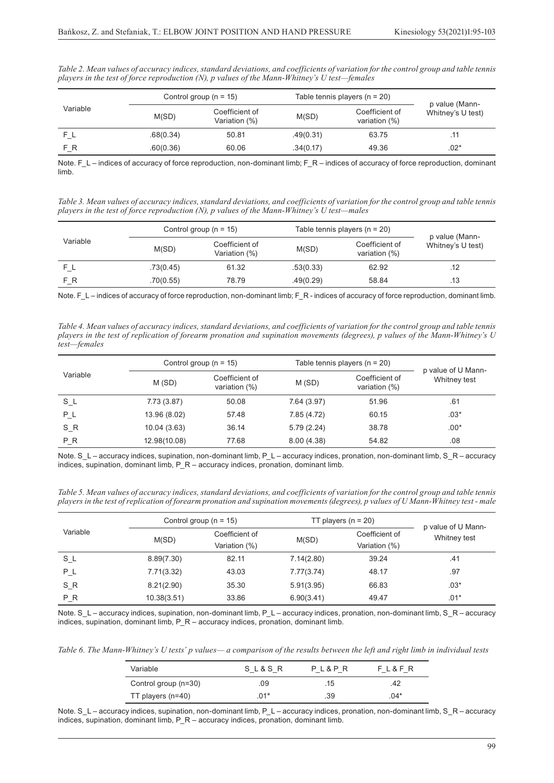|          |           | Control group ( $n = 15$ )      |           | Table tennis players $(n = 20)$ |                                     |
|----------|-----------|---------------------------------|-----------|---------------------------------|-------------------------------------|
| Variable | M(SD)     | Coefficient of<br>Variation (%) | M(SD)     | Coefficient of<br>variation (%) | p value (Mann-<br>Whitney's U test) |
|          | .68(0.34) | 50.81                           | .49(0.31) | 63.75                           | .11                                 |
| F R      | .60(0.36) | 60.06                           | .34(0.17) | 49.36                           | $.02*$                              |

*Table 2. Mean values of accuracy indices, standard deviations, and coefficients of variation for the control group and table tennis players in the test of force reproduction (N), p values of the Mann-Whitney's U test—females*

Note. F\_L – indices of accuracy of force reproduction, non-dominant limb; F\_R – indices of accuracy of force reproduction, dominant limb.

*Table 3. Mean values of accuracy indices, standard deviations, and coefficients of variation for the control group and table tennis players in the test of force reproduction (N), p values of the Mann-Whitney's U test—males*

|          | Control group ( $n = 15$ ) |                                 | Table tennis players ( $n = 20$ ) |                                    |                                     |
|----------|----------------------------|---------------------------------|-----------------------------------|------------------------------------|-------------------------------------|
| Variable | M(SD)                      | Coefficient of<br>Variation (%) | M(SD)                             | Coefficient of<br>variation $(\%)$ | p value (Mann-<br>Whitney's U test) |
|          | .73(0.45)                  | 61.32                           | .53(0.33)                         | 62.92                              | .12                                 |
| F R      | .70(0.55)                  | 78.79                           | .49(0.29)                         | 58.84                              | .13                                 |

Note. F\_L – indices of accuracy of force reproduction, non-dominant limb; F\_R - indices of accuracy of force reproduction, dominant limb.

*Table 4. Mean values of accuracy indices, standard deviations, and coefficients of variation for the control group and table tennis players in the test of replication of forearm pronation and supination movements (degrees), p values of the Mann-Whitney's U test—females*

|          | Control group ( $n = 15$ ) |                                 | Table tennis players ( $n = 20$ ) |                                 |                                    |
|----------|----------------------------|---------------------------------|-----------------------------------|---------------------------------|------------------------------------|
| Variable | M(SD)                      | Coefficient of<br>variation (%) | M(SD)                             | Coefficient of<br>variation (%) | p value of U Mann-<br>Whitney test |
| $S_L$    | 7.73(3.87)                 | 50.08                           | 7.64 (3.97)                       | 51.96                           | .61                                |
| $P_L$    | 13.96 (8.02)               | 57.48                           | 7.85 (4.72)                       | 60.15                           | $.03*$                             |
| $S_R$    | 10.04(3.63)                | 36.14                           | 5.79(2.24)                        | 38.78                           | $.00*$                             |
| P R      | 12.98(10.08)               | 77.68                           | 8.00(4.38)                        | 54.82                           | .08                                |

Note. S\_L – accuracy indices, supination, non-dominant limb, P\_L – accuracy indices, pronation, non-dominant limb, S\_R – accuracy indices, supination, dominant limb, P\_R – accuracy indices, pronation, dominant limb.

*Table 5. Mean values of accuracy indices, standard deviations, and coefficients of variation for the control group and table tennis players in the test of replication of forearm pronation and supination movements (degrees), p values of U Mann-Whitney test - male*

|          | Control group ( $n = 15$ ) |                                 | TT players $(n = 20)$ |                                 | p value of U Mann- |
|----------|----------------------------|---------------------------------|-----------------------|---------------------------------|--------------------|
| Variable | M(SD)                      | Coefficient of<br>Variation (%) | M(SD)                 | Coefficient of<br>Variation (%) | Whitney test       |
| $S_l$    | 8.89(7.30)                 | 82.11                           | 7.14(2.80)            | 39.24                           | .41                |
| $P_L$    | 7.71(3.32)                 | 43.03                           | 7.77(3.74)            | 48.17                           | .97                |
| S_R      | 8.21(2.90)                 | 35.30                           | 5.91(3.95)            | 66.83                           | $.03*$             |
| $P_R$    | 10.38(3.51)                | 33.86                           | 6.90(3.41)            | 49.47                           | $.01*$             |

Note. S\_L – accuracy indices, supination, non-dominant limb, P\_L – accuracy indices, pronation, non-dominant limb, S\_R – accuracy indices, supination, dominant limb, P\_R – accuracy indices, pronation, dominant limb.

*Table 6. The Mann-Whitney's U tests' p values— a comparison of the results between the left and right limb in individual tests*

| Variable             | SL&SR  | PL&PR | FL&FR |
|----------------------|--------|-------|-------|
| Control group (n=30) | .09    | .15   | .42   |
| TT players $(n=40)$  | $.01*$ | .39   | .04*  |

Note. S\_L – accuracy indices, supination, non-dominant limb, P\_L – accuracy indices, pronation, non-dominant limb, S\_R – accuracy indices, supination, dominant limb, P\_R – accuracy indices, pronation, dominant limb.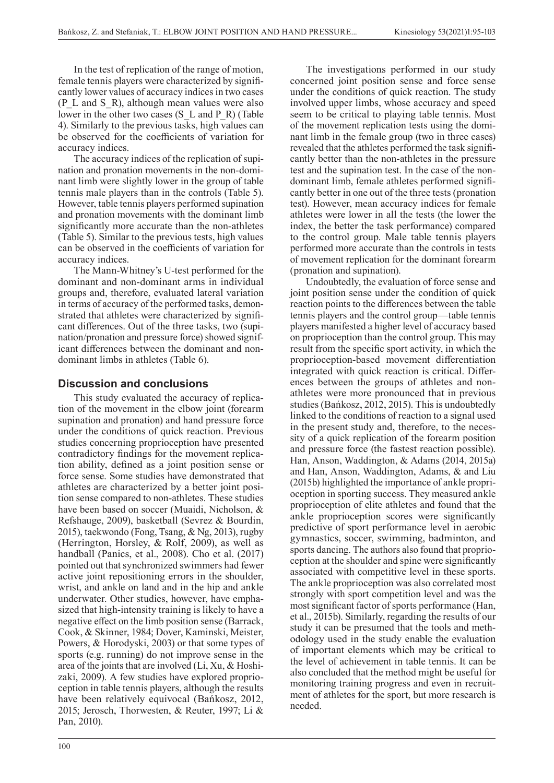In the test of replication of the range of motion, female tennis players were characterized by significantly lower values of accuracy indices in two cases  $(P_L and S_R)$ , although mean values were also lower in the other two cases (S L and P R) (Table 4). Similarly to the previous tasks, high values can be observed for the coefficients of variation for accuracy indices.

The accuracy indices of the replication of supination and pronation movements in the non-dominant limb were slightly lower in the group of table tennis male players than in the controls (Table 5). However, table tennis players performed supination and pronation movements with the dominant limb significantly more accurate than the non-athletes (Table 5). Similar to the previous tests, high values can be observed in the coefficients of variation for accuracy indices.

The Mann-Whitney's U-test performed for the dominant and non-dominant arms in individual groups and, therefore, evaluated lateral variation in terms of accuracy of the performed tasks, demonstrated that athletes were characterized by significant differences. Out of the three tasks, two (supination/pronation and pressure force) showed significant differences between the dominant and nondominant limbs in athletes (Table 6).

# **Discussion and conclusions**

This study evaluated the accuracy of replication of the movement in the elbow joint (forearm supination and pronation) and hand pressure force under the conditions of quick reaction. Previous studies concerning proprioception have presented contradictory findings for the movement replication ability, defined as a joint position sense or force sense. Some studies have demonstrated that athletes are characterized by a better joint position sense compared to non-athletes. These studies have been based on soccer (Muaidi, Nicholson, & Refshauge, 2009), basketball (Sevrez & Bourdin, 2015), taekwondo (Fong, Tsang, & Ng, 2013), rugby (Herrington, Horsley, & Rolf, 2009), as well as handball (Panics, et al., 2008). Cho et al. (2017) pointed out that synchronized swimmers had fewer active joint repositioning errors in the shoulder, wrist, and ankle on land and in the hip and ankle underwater. Other studies, however, have emphasized that high-intensity training is likely to have a negative effect on the limb position sense (Barrack, Cook, & Skinner, 1984; Dover, Kaminski, Meister, Powers, & Horodyski, 2003) or that some types of sports (e.g. running) do not improve sense in the area of the joints that are involved (Li, Xu, & Hoshizaki, 2009). A few studies have explored proprioception in table tennis players, although the results have been relatively equivocal (Bańkosz, 2012, 2015; Jerosch, Thorwesten, & Reuter, 1997; Li & Pan, 2010).

The investigations performed in our study concerned joint position sense and force sense under the conditions of quick reaction. The study involved upper limbs, whose accuracy and speed seem to be critical to playing table tennis. Most of the movement replication tests using the dominant limb in the female group (two in three cases) revealed that the athletes performed the task significantly better than the non-athletes in the pressure test and the supination test. In the case of the nondominant limb, female athletes performed significantly better in one out of the three tests (pronation test). However, mean accuracy indices for female athletes were lower in all the tests (the lower the index, the better the task performance) compared to the control group. Male table tennis players performed more accurate than the controls in tests of movement replication for the dominant forearm (pronation and supination).

Undoubtedly, the evaluation of force sense and joint position sense under the condition of quick reaction points to the differences between the table tennis players and the control group—table tennis players manifested a higher level of accuracy based on proprioception than the control group. This may result from the specific sport activity, in which the proprioception-based movement differentiation integrated with quick reaction is critical. Differences between the groups of athletes and nonathletes were more pronounced that in previous studies (Bańkosz, 2012, 2015). This is undoubtedly linked to the conditions of reaction to a signal used in the present study and, therefore, to the necessity of a quick replication of the forearm position and pressure force (the fastest reaction possible). Han, Anson, Waddington, & Adams (2014, 2015a) and Han, Anson, Waddington, Adams, & and Liu (2015b) highlighted the importance of ankle proprioception in sporting success. They measured ankle proprioception of elite athletes and found that the ankle proprioception scores were significantly predictive of sport performance level in aerobic gymnastics, soccer, swimming, badminton, and sports dancing. The authors also found that proprioception at the shoulder and spine were significantly associated with competitive level in these sports. The ankle proprioception was also correlated most strongly with sport competition level and was the most significant factor of sports performance (Han, et al., 2015b). Similarly, regarding the results of our study it can be presumed that the tools and methodology used in the study enable the evaluation of important elements which may be critical to the level of achievement in table tennis. It can be also concluded that the method might be useful for monitoring training progress and even in recruitment of athletes for the sport, but more research is needed.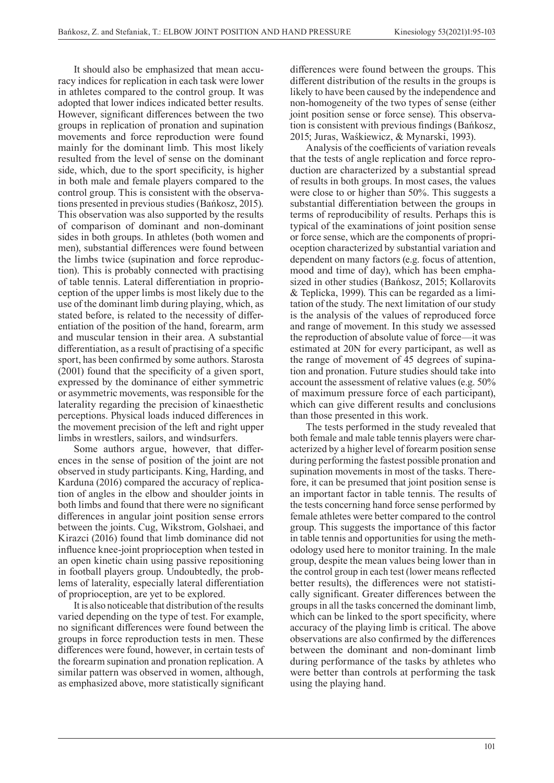It should also be emphasized that mean accuracy indices for replication in each task were lower in athletes compared to the control group. It was adopted that lower indices indicated better results. However, significant differences between the two groups in replication of pronation and supination movements and force reproduction were found mainly for the dominant limb. This most likely resulted from the level of sense on the dominant side, which, due to the sport specificity, is higher in both male and female players compared to the control group. This is consistent with the observations presented in previous studies (Bańkosz, 2015). This observation was also supported by the results of comparison of dominant and non-dominant sides in both groups. In athletes (both women and men), substantial differences were found between the limbs twice (supination and force reproduction). This is probably connected with practising of table tennis. Lateral differentiation in proprioception of the upper limbs is most likely due to the use of the dominant limb during playing, which, as stated before, is related to the necessity of differentiation of the position of the hand, forearm, arm and muscular tension in their area. A substantial differentiation, as a result of practising of a specific sport, has been confirmed by some authors. Starosta (2001) found that the specificity of a given sport, expressed by the dominance of either symmetric or asymmetric movements, was responsible for the laterality regarding the precision of kinaesthetic perceptions. Physical loads induced differences in the movement precision of the left and right upper limbs in wrestlers, sailors, and windsurfers.

Some authors argue, however, that differences in the sense of position of the joint are not observed in study participants. King, Harding, and Karduna (2016) compared the accuracy of replication of angles in the elbow and shoulder joints in both limbs and found that there were no significant differences in angular joint position sense errors between the joints. Cug, Wikstrom, Golshaei, and Kirazci (2016) found that limb dominance did not influence knee-joint proprioception when tested in an open kinetic chain using passive repositioning in football players group. Undoubtedly, the problems of laterality, especially lateral differentiation of proprioception, are yet to be explored.

It is also noticeable that distribution of the results varied depending on the type of test. For example, no significant differences were found between the groups in force reproduction tests in men. These differences were found, however, in certain tests of the forearm supination and pronation replication. A similar pattern was observed in women, although, as emphasized above, more statistically significant differences were found between the groups. This different distribution of the results in the groups is likely to have been caused by the independence and non-homogeneity of the two types of sense (either joint position sense or force sense). This observation is consistent with previous findings (Bańkosz, 2015; Juras, Waśkiewicz, & Mynarski, 1993).

Analysis of the coefficients of variation reveals that the tests of angle replication and force reproduction are characterized by a substantial spread of results in both groups. In most cases, the values were close to or higher than 50%. This suggests a substantial differentiation between the groups in terms of reproducibility of results. Perhaps this is typical of the examinations of joint position sense or force sense, which are the components of proprioception characterized by substantial variation and dependent on many factors (e.g. focus of attention, mood and time of day), which has been emphasized in other studies (Bańkosz, 2015; Kollarovits & Teplicka, 1999). This can be regarded as a limitation of the study. The next limitation of our study is the analysis of the values of reproduced force and range of movement. In this study we assessed the reproduction of absolute value of force—it was estimated at 20N for every participant, as well as the range of movement of 45 degrees of supination and pronation. Future studies should take into account the assessment of relative values (e.g. 50% of maximum pressure force of each participant), which can give different results and conclusions than those presented in this work.

The tests performed in the study revealed that both female and male table tennis players were characterized by a higher level of forearm position sense during performing the fastest possible pronation and supination movements in most of the tasks. Therefore, it can be presumed that joint position sense is an important factor in table tennis. The results of the tests concerning hand force sense performed by female athletes were better compared to the control group. This suggests the importance of this factor in table tennis and opportunities for using the methodology used here to monitor training. In the male group, despite the mean values being lower than in the control group in each test (lower means reflected better results), the differences were not statistically significant. Greater differences between the groups in all the tasks concerned the dominant limb, which can be linked to the sport specificity, where accuracy of the playing limb is critical. The above observations are also confirmed by the differences between the dominant and non-dominant limb during performance of the tasks by athletes who were better than controls at performing the task using the playing hand.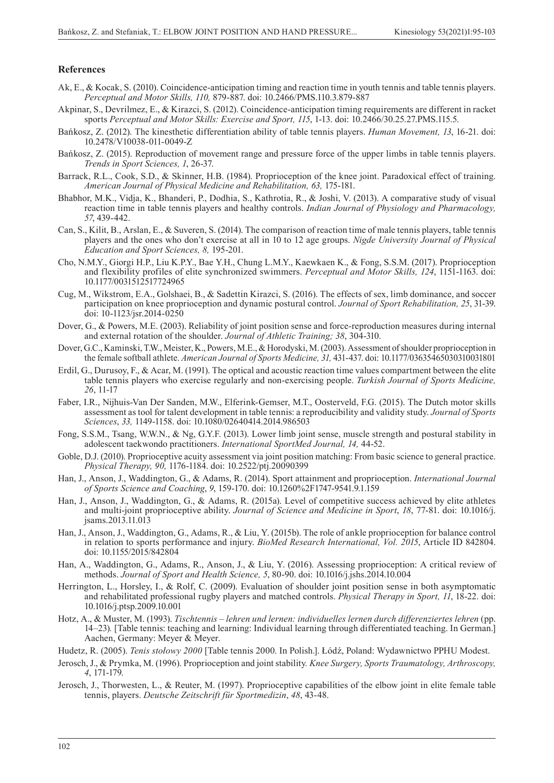#### **References**

- Ak, E., & Kocak, S. (2010). Coincidence-anticipation timing and reaction time in youth tennis and table tennis players. *Perceptual and Motor Skills, 110,* 879-887. doi: 10.2466/PMS.110.3.879-887
- Akpinar, S., Devrilmez, E., & Kirazci, S. (2012). Coincidence-anticipation timing requirements are different in racket sports *Perceptual and Motor Skills: Exercise and Sport, 115*, 1-13. doi: 10.2466/30.25.27.PMS.115.5.
- Bańkosz, Z. (2012). The kinesthetic differentiation ability of table tennis players. *Human Movement, 13*, 16-21. doi: 10.2478/V10038-011-0049-Z
- Bańkosz, Z. (2015). Reproduction of movement range and pressure force of the upper limbs in table tennis players. *Trends in Sport Sciences, 1*, 26-37.
- Barrack, R.L., Cook, S.D., & Skinner, H.B. (1984). Proprioception of the knee joint. Paradoxical effect of training. *American Journal of Physical Medicine and Rehabilitation, 63,* 175-181.
- Bhabhor, M.K., Vidja, K., Bhanderi, P., Dodhia, S., Kathrotia, R., & Joshi, V. (2013). A comparative study of visual reaction time in table tennis players and healthy controls. *Indian Journal of Physiology and Pharmacology, 57*, 439-442.
- Can, S., Kilit, B., Arslan, E., & Suveren, S. (2014). The comparison of reaction time of male tennis players, table tennis players and the ones who don't exercise at all in 10 to 12 age groups. *Nigde University Journal of Physical Education and Sport Sciences, 8,* 195-201.
- Cho, N.M.Y., Giorgi H.P., Liu K.P.Y., Bae Y.H., Chung L.M.Y., Kaewkaen K., & Fong, S.S.M. (2017). Proprioception and flexibility profiles of elite synchronized swimmers. *Perceptual and Motor Skills, 124*, 1151-1163. doi: 10.1177/0031512517724965
- Cug, M., Wikstrom, E.A., Golshaei, B., & Sadettin Kirazci, S. (2016). The effects of sex, limb dominance, and soccer participation on knee proprioception and dynamic postural control. *Journal of Sport Rehabilitation, 25*, 31-39. doi: 10-1123/jsr.2014-0250
- Dover, G., & Powers, M.E. (2003). Reliability of joint position sense and force-reproduction measures during internal and external rotation of the shoulder. *Journal of Athletic Training; 38*, 304-310.
- Dover, G.C., Kaminski, T.W., Meister, K., Powers, M.E., & Horodyski, M. (2003). Assessment of shoulder proprioception in the female softball athlete. *American Journal of Sports Medicine, 31,* 431-437. doi: 10.1177/03635465030310031801
- Erdil, G., Durusoy, F., & Acar, M. (1991). The optical and acoustic reaction time values compartment between the elite table tennis players who exercise regularly and non-exercising people. *Turkish Journal of Sports Medicine, 26*, 11-17
- Faber, I.R., Nijhuis-Van Der Sanden, M.W., Elferink-Gemser, M.T., Oosterveld, F.G. (2015). The Dutch motor skills assessment as tool for talent development in table tennis: a reproducibility and validity study. *Journal of Sports Sciences*, *33,* 1149-1158. doi: 10.1080/02640414.2014.986503
- Fong, S.S.M., Tsang, W.W.N., & Ng, G.Y.F. (2013). Lower limb joint sense, muscle strength and postural stability in adolescent taekwondo practitioners. *International SportMed Journal, 14,* 44-52.
- Goble, D.J. (2010). Proprioceptive acuity assessment via joint position matching: From basic science to general practice. *Physical Therapy, 90,* 1176-1184. doi: 10.2522/ptj.20090399
- Han, J., Anson, J., Waddington, G., & Adams, R. (2014). Sport attainment and proprioception. *International Journal of Sports Science and Coaching*, *9*, 159-170. doi: 10.1260%2F1747-9541.9.1.159
- Han, J., Anson, J., Waddington, G., & Adams, R. (2015a). Level of competitive success achieved by elite athletes and multi-joint proprioceptive ability. *Journal of Science and Medicine in Sport*, *18*, 77-81. doi: 10.1016/j. jsams.2013.11.013
- Han, J., Anson, J., Waddington, G., Adams, R., & Liu, Y. (2015b). The role of ankle proprioception for balance control in relation to sports performance and injury. *BioMed Research International, Vol. 2015*, Article ID 842804. doi: 10.1155/2015/842804
- Han, A., Waddington, G., Adams, R., Anson, J., & Liu, Y. (2016). Assessing proprioception: A critical review of methods. *Journal of Sport and Health Science, 5*, 80-90. doi: 10.1016/j.jshs.2014.10.004
- Herrington, L., Horsley, I., & Rolf, C. (2009). Evaluation of shoulder joint position sense in both asymptomatic and rehabilitated professional rugby players and matched controls. *Physical Therapy in Sport, 11*, 18-22. doi: 10.1016/j.ptsp.2009.10.001
- Hotz, A., & Muster, M. (1993). *Tischtennis lehren und lernen: individuelles lernen durch differenziertes lehren* (pp. 14–23)*.* [Table tennis: teaching and learning: Individual learning through differentiated teaching. In German.] Aachen, Germany: Meyer & Meyer.
- Hudetz, R. (2005). *Tenis stołowy 2000* [Table tennis 2000. In Polish.]. Łódź, Poland: Wydawnictwo PPHU Modest.
- Jerosch, J., & Prymka, M. (1996). Proprioception and joint stability*. Knee Surgery, Sports Traumatology, Arthroscopy, 4*, 171-179.
- Jerosch, J., Thorwesten, L., & Reuter, M. (1997). Proprioceptive capabilities of the elbow joint in elite female table tennis, players. *Deutsche Zeitschrift für Sportmedizin*, *48*, 43-48.